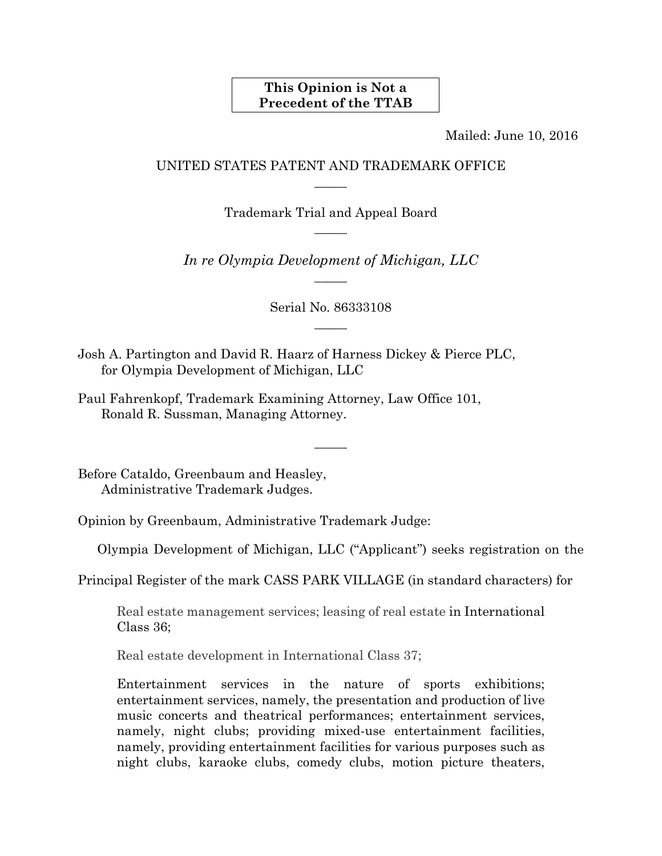## **This Opinion is Not a Precedent of the TTAB**

Mailed: June 10, 2016

## UNITED STATES PATENT AND TRADEMARK OFFICE  $\overline{\phantom{a}}$

Trademark Trial and Appeal Board  $\overline{\phantom{a}}$ 

*In re Olympia Development of Michigan, LLC*   $\overline{\phantom{a}}$ 

> Serial No. 86333108  $\overline{\phantom{a}}$

> > $\overline{\phantom{a}}$

Josh A. Partington and David R. Haarz of Harness Dickey & Pierce PLC, for Olympia Development of Michigan, LLC

Paul Fahrenkopf, Trademark Examining Attorney, Law Office 101, Ronald R. Sussman, Managing Attorney.

Before Cataldo, Greenbaum and Heasley, Administrative Trademark Judges.

Opinion by Greenbaum, Administrative Trademark Judge:

Olympia Development of Michigan, LLC ("Applicant") seeks registration on the

Principal Register of the mark CASS PARK VILLAGE (in standard characters) for

Real estate management services; leasing of real estate in International Class 36;

Real estate development in International Class 37;

Entertainment services in the nature of sports exhibitions; entertainment services, namely, the presentation and production of live music concerts and theatrical performances; entertainment services, namely, night clubs; providing mixed-use entertainment facilities, namely, providing entertainment facilities for various purposes such as night clubs, karaoke clubs, comedy clubs, motion picture theaters,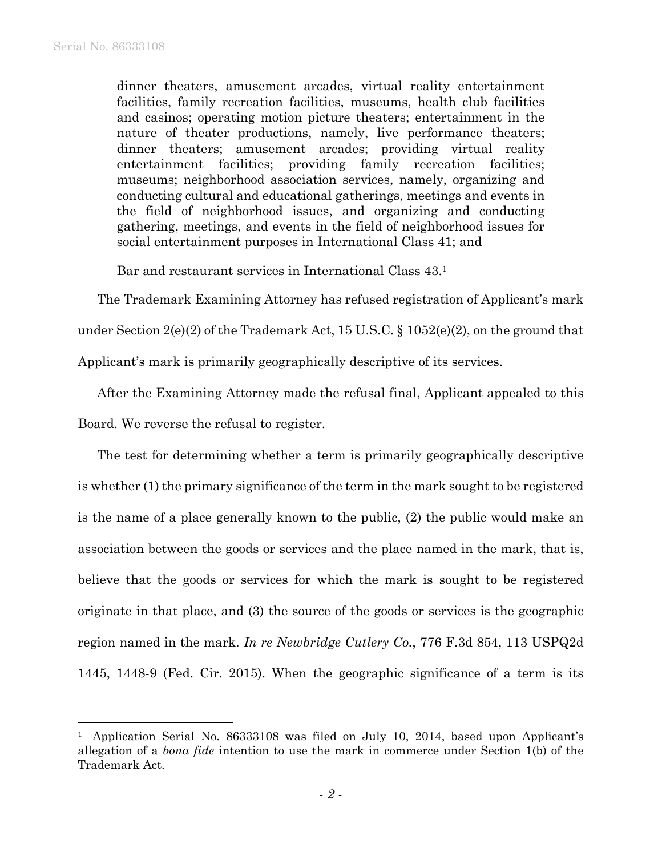$\overline{a}$ 

dinner theaters, amusement arcades, virtual reality entertainment facilities, family recreation facilities, museums, health club facilities and casinos; operating motion picture theaters; entertainment in the nature of theater productions, namely, live performance theaters; dinner theaters; amusement arcades; providing virtual reality entertainment facilities; providing family recreation facilities; museums; neighborhood association services, namely, organizing and conducting cultural and educational gatherings, meetings and events in the field of neighborhood issues, and organizing and conducting gathering, meetings, and events in the field of neighborhood issues for social entertainment purposes in International Class 41; and

Bar and restaurant services in International Class 43.1

The Trademark Examining Attorney has refused registration of Applicant's mark

under Section 2(e)(2) of the Trademark Act, 15 U.S.C. § 1052(e)(2), on the ground that

Applicant's mark is primarily geographically descriptive of its services.

After the Examining Attorney made the refusal final, Applicant appealed to this

Board. We reverse the refusal to register.

The test for determining whether a term is primarily geographically descriptive is whether (1) the primary significance of the term in the mark sought to be registered is the name of a place generally known to the public, (2) the public would make an association between the goods or services and the place named in the mark, that is, believe that the goods or services for which the mark is sought to be registered originate in that place, and (3) the source of the goods or services is the geographic region named in the mark. *In re Newbridge Cutlery Co.*, 776 F.3d 854, 113 USPQ2d 1445, 1448-9 (Fed. Cir. 2015). When the geographic significance of a term is its

<sup>&</sup>lt;sup>1</sup> Application Serial No. 86333108 was filed on July 10, 2014, based upon Applicant's allegation of a *bona fide* intention to use the mark in commerce under Section 1(b) of the Trademark Act.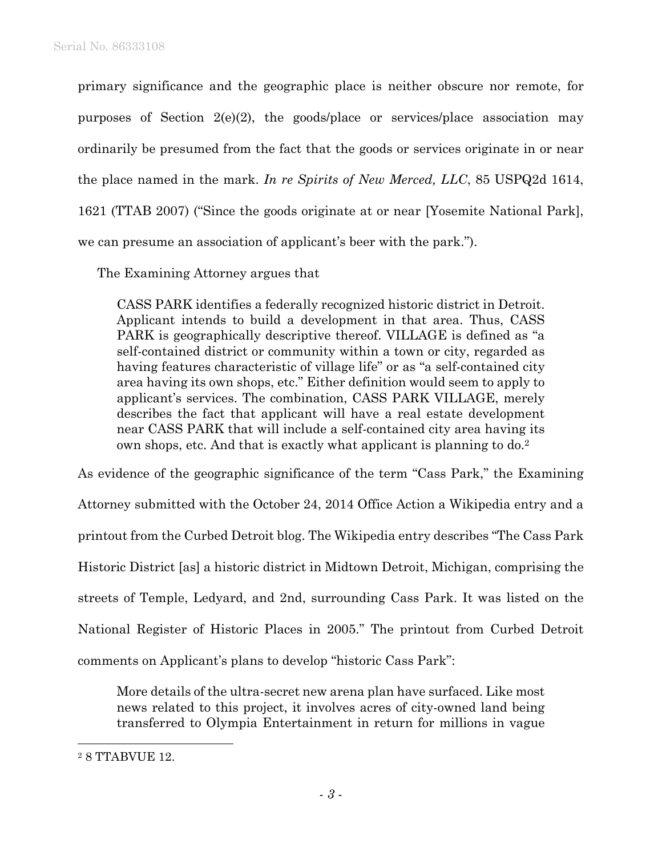primary significance and the geographic place is neither obscure nor remote, for purposes of Section 2(e)(2), the goods/place or services/place association may ordinarily be presumed from the fact that the goods or services originate in or near the place named in the mark. *In re Spirits of New Merced, LLC*, 85 USPQ2d 1614, 1621 (TTAB 2007) ("Since the goods originate at or near [Yosemite National Park], we can presume an association of applicant's beer with the park.").

The Examining Attorney argues that

CASS PARK identifies a federally recognized historic district in Detroit. Applicant intends to build a development in that area. Thus, CASS PARK is geographically descriptive thereof. VILLAGE is defined as "a self-contained district or community within a town or city, regarded as having features characteristic of village life" or as "a self-contained city area having its own shops, etc." Either definition would seem to apply to applicant's services. The combination, CASS PARK VILLAGE, merely describes the fact that applicant will have a real estate development near CASS PARK that will include a self-contained city area having its own shops, etc. And that is exactly what applicant is planning to do.2

As evidence of the geographic significance of the term "Cass Park," the Examining Attorney submitted with the October 24, 2014 Office Action a Wikipedia entry and a printout from the Curbed Detroit blog. The Wikipedia entry describes "The Cass Park Historic District [as] a historic district in Midtown Detroit, Michigan, comprising the streets of Temple, Ledyard, and 2nd, surrounding Cass Park. It was listed on the National Register of Historic Places in 2005." The printout from Curbed Detroit comments on Applicant's plans to develop "historic Cass Park":

More details of the ultra-secret new arena plan have surfaced. Like most news related to this project, it involves acres of city-owned land being transferred to Olympia Entertainment in return for millions in vague

 $\overline{a}$ 

<sup>2 8</sup> TTABVUE 12.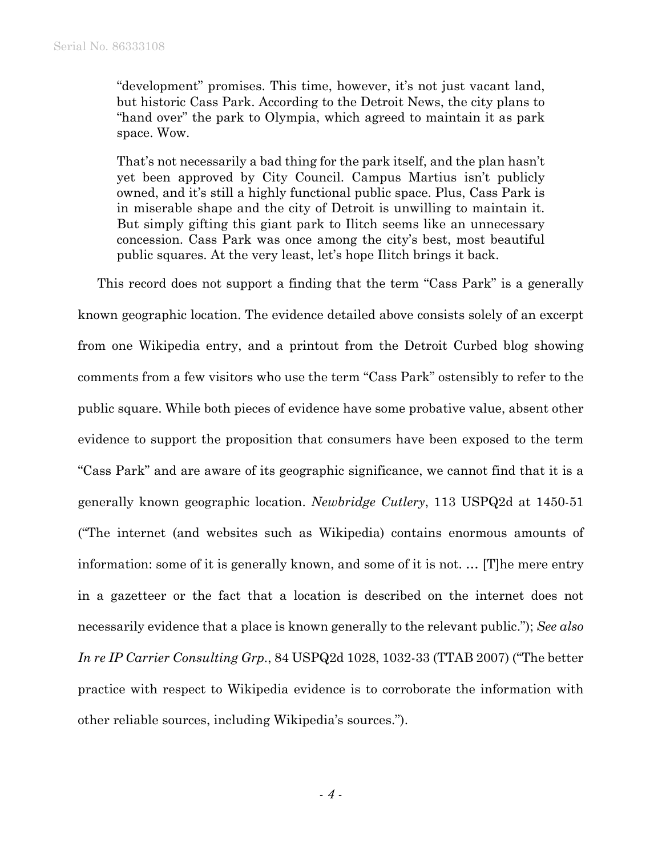"development" promises. This time, however, it's not just vacant land, but historic Cass Park. According to the Detroit News, the city plans to "hand over" the park to Olympia, which agreed to maintain it as park space. Wow.

That's not necessarily a bad thing for the park itself, and the plan hasn't yet been approved by City Council. Campus Martius isn't publicly owned, and it's still a highly functional public space. Plus, Cass Park is in miserable shape and the city of Detroit is unwilling to maintain it. But simply gifting this giant park to Ilitch seems like an unnecessary concession. Cass Park was once among the city's best, most beautiful public squares. At the very least, let's hope Ilitch brings it back.

This record does not support a finding that the term "Cass Park" is a generally known geographic location. The evidence detailed above consists solely of an excerpt from one Wikipedia entry, and a printout from the Detroit Curbed blog showing comments from a few visitors who use the term "Cass Park" ostensibly to refer to the public square. While both pieces of evidence have some probative value, absent other evidence to support the proposition that consumers have been exposed to the term "Cass Park" and are aware of its geographic significance, we cannot find that it is a generally known geographic location. *Newbridge Cutlery*, 113 USPQ2d at 1450-51 ("The internet (and websites such as Wikipedia) contains enormous amounts of information: some of it is generally known, and some of it is not. … [T]he mere entry in a gazetteer or the fact that a location is described on the internet does not necessarily evidence that a place is known generally to the relevant public."); *See also In re IP Carrier Consulting Grp.*, 84 USPQ2d 1028, 1032-33 (TTAB 2007) ("The better practice with respect to Wikipedia evidence is to corroborate the information with other reliable sources, including Wikipedia's sources.").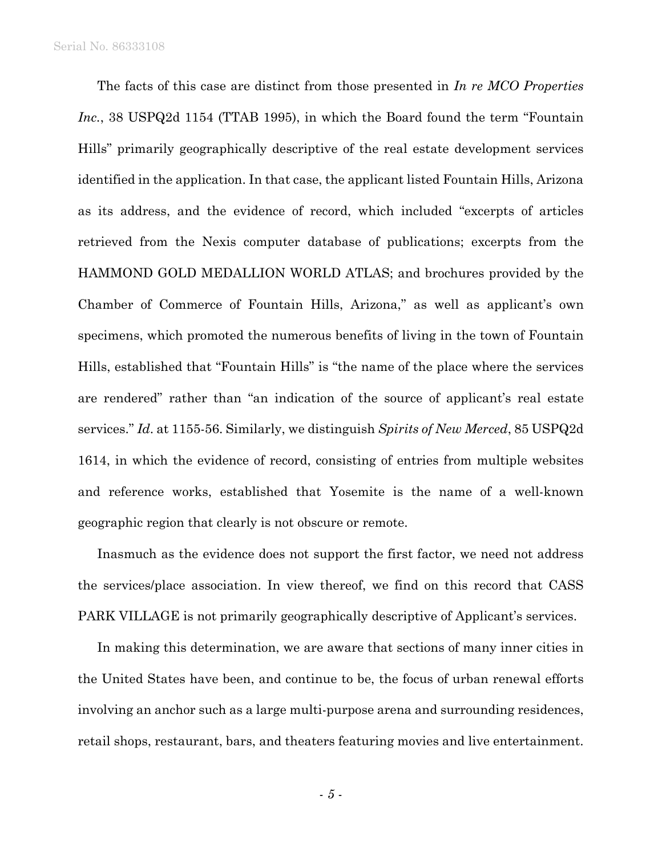The facts of this case are distinct from those presented in *In re MCO Properties Inc.*, 38 USPQ2d 1154 (TTAB 1995), in which the Board found the term "Fountain Hills" primarily geographically descriptive of the real estate development services identified in the application. In that case, the applicant listed Fountain Hills, Arizona as its address, and the evidence of record, which included "excerpts of articles retrieved from the Nexis computer database of publications; excerpts from the HAMMOND GOLD MEDALLION WORLD ATLAS; and brochures provided by the Chamber of Commerce of Fountain Hills, Arizona," as well as applicant's own specimens, which promoted the numerous benefits of living in the town of Fountain Hills, established that "Fountain Hills" is "the name of the place where the services are rendered" rather than "an indication of the source of applicant's real estate services." *Id*. at 1155-56. Similarly, we distinguish *Spirits of New Merced*, 85 USPQ2d 1614, in which the evidence of record, consisting of entries from multiple websites and reference works, established that Yosemite is the name of a well-known geographic region that clearly is not obscure or remote.

Inasmuch as the evidence does not support the first factor, we need not address the services/place association. In view thereof, we find on this record that CASS PARK VILLAGE is not primarily geographically descriptive of Applicant's services.

In making this determination, we are aware that sections of many inner cities in the United States have been, and continue to be, the focus of urban renewal efforts involving an anchor such as a large multi-purpose arena and surrounding residences, retail shops, restaurant, bars, and theaters featuring movies and live entertainment.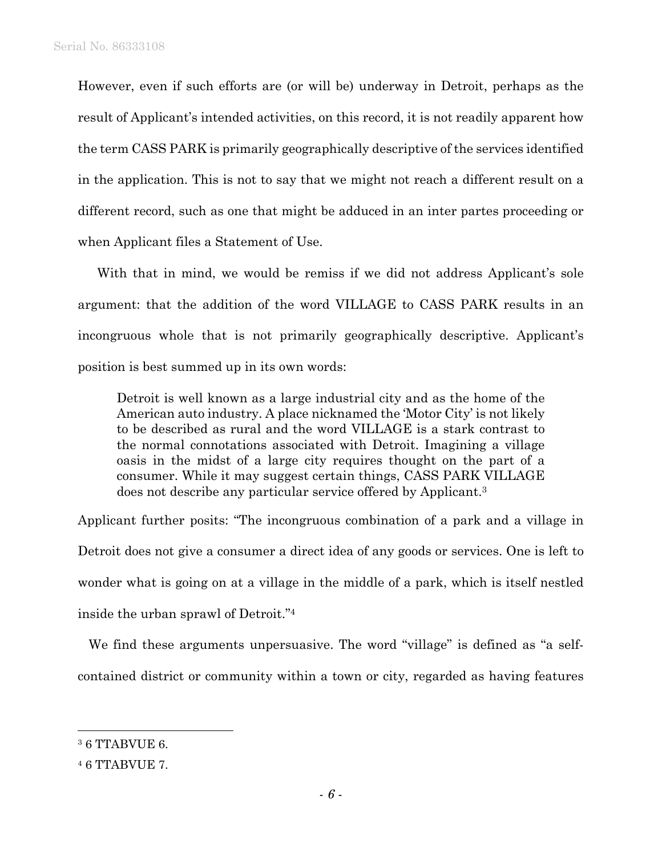However, even if such efforts are (or will be) underway in Detroit, perhaps as the result of Applicant's intended activities, on this record, it is not readily apparent how the term CASS PARK is primarily geographically descriptive of the services identified in the application. This is not to say that we might not reach a different result on a different record, such as one that might be adduced in an inter partes proceeding or when Applicant files a Statement of Use.

With that in mind, we would be remiss if we did not address Applicant's sole argument: that the addition of the word VILLAGE to CASS PARK results in an incongruous whole that is not primarily geographically descriptive. Applicant's position is best summed up in its own words:

Detroit is well known as a large industrial city and as the home of the American auto industry. A place nicknamed the 'Motor City' is not likely to be described as rural and the word VILLAGE is a stark contrast to the normal connotations associated with Detroit. Imagining a village oasis in the midst of a large city requires thought on the part of a consumer. While it may suggest certain things, CASS PARK VILLAGE does not describe any particular service offered by Applicant.3

Applicant further posits: "The incongruous combination of a park and a village in Detroit does not give a consumer a direct idea of any goods or services. One is left to wonder what is going on at a village in the middle of a park, which is itself nestled inside the urban sprawl of Detroit."4

We find these arguments unpersuasive. The word "village" is defined as "a selfcontained district or community within a town or city, regarded as having features

 $\overline{a}$ 

<sup>&</sup>lt;sup>3</sup> 6 TTABVUE 6.

<sup>4 6</sup> TTABVUE 7.